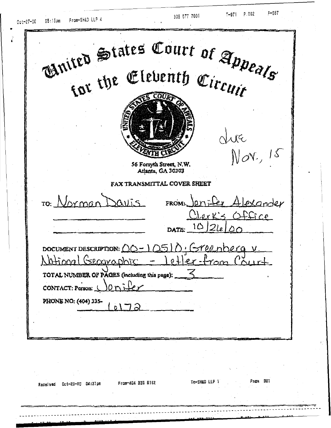From-SH&D LLP 4  $05:15$ əm Oct-27-00

 $F - 687$ 

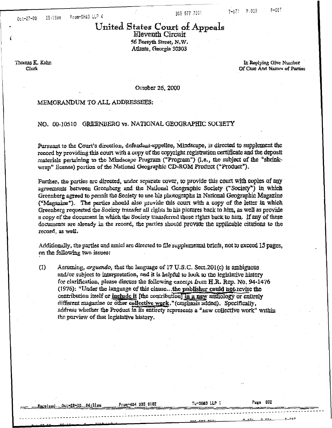$NS:15mm$  $0c - 27 - 00$ 

From-SH&D LLP 4

United States Court of Appeals **Eleventh Circuit** 56 Forsyth Street, N.W.

Atlanta, Georgia 30303

Thomas K. Kahn **Clurk** 

In Replying Give Number Of Case And Names of Parties

Page 002

Tu-SHED LLP 1

October 26, 2000

### MEMORANDUM TO ALL ADDRESSEES:

### NO. 00-10510 GREENBERG vs. NATIONAL GEOGRAPHIC SOCIETY

Pursuant to the Court's direction, defendant-appellee, Mindscape, is directed to supplement the record by providing this court with a copy of the copyright registration certificate and the deposit materials pertaining to the Mindscape Program ("Program") (i.e., the subject of the "shrinkwrap" license) portion of the National Geographic CD-ROM Product ("Product").

Further, the parties are directed, under separate cover, to provide this court with copies of any agreements between Greenberg and the National Geographic Society ("Society") in which Greenberg agreed to permit the Society to use his photographs in National Geographic Magazine ("Magazine"). The partics should also provide this court with a copy of the letter in which Greenberg requested the Society transfer all rights in his pictures back to him, as well as provide a copy of the document in which the Society transferred those rights back to him. If any of these documents are already in the record, the parties should provide the applicable citations to the record, as well.

Additionally, the parties and amici are directed to file supplemental briefs, not to exceed 15 pages. on the following two issues:

 $(1)$ Assuming, *arguendo*, that the language of 17 U.S.C. Sect.201(c) is ambiguous and/or subject to interpretation, and it is helpful to look to the legislarive history for clarification, please discuss the following excerpt from H.R. Rep. No. 94-1476 (1976): "Under the language of this clause...the publisher could not revise the contribution itself or include it [the contribution] in a new anthology or entirely different magazine or other collective work," (emphasis added). Specifically, address whether the Product in its entirety represents a "new collective work" within the purview of that legislative history.

From-404 SSS 0102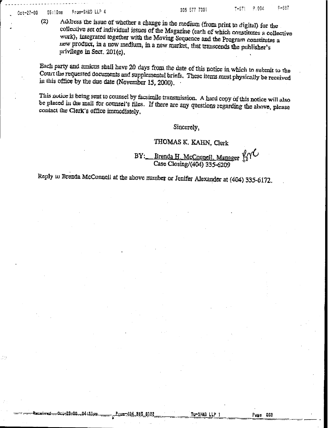(2) Address the issue of whether a change in the medium (from print  $\mu$ ) digital) for the collective set of individual issues of the Magazine (ear.h of which constitutes a collective work), integrated together with the Moving Sequence and the Program constitutes a new product, in a new medium, in a new market, that transcends the publisher's privilege in Sect. ZOl(C).

Each party and amicus shall have 20 days from the date of this notice in which to submit to the Court the requested documents and supplemental briefs. These items must physically be received in this office by the due date (November 15, 2000).

This notice is being sent to counsel by facsimile transmission. A hard copy of this notice will also be placed in the mail for counsel's files. If there are any questions regarding the above, please contact the Clerk's office immediately.

### Sincerely,

### THOMAS K. KAHN, Clerk

 $BY:$  Brenda H. McConnell. Manager  $\frac{1}{6}$ CaseClosing/(404) 335-6209

Reply to Brenda McConnell at the above number or Jenifer Alexander at (404) 335-6172.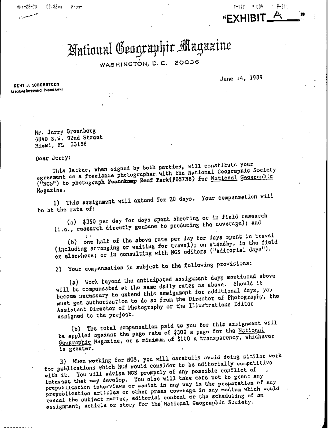$T-119$   $P.005$ **"FXHIBIT**   $1 - 211$ 

# National Geographic Magazine

### WASHINGTON, D. C. 20036

June 14. 1989

KENT J. KOBERSTEEN **ALEISTANT DIRECTOR OF PHOTOGRAPHY** 

> Mr. Jerry Greenberg 6840 S.W. 92nd Street Miami, FL 33156

Dear Jerry:

This letter, when signed by both parties, will constitute your agreement as a freelance photographer with the National Geographic Society ("NGS") to photograph Fennekamp Reef Park(#05738) for National Geographic Magazine.

1) This assignment will extend for 20 days. Your compensation will be at the rate of:

(a) \$350 par day for days spent shooting or in field research (1.c., research directly germane to producing the coverage); and

(b) one half of the above rate per day for days spent in traval (including arranging or waiting for travel); on standby, in the field or clsewhere; or in consulting with NGS editors ("editorial days").

2) Your compensation is subject to the following provisions:

(a) Work beyond the anticipated assignment days mentioned above will be compensated at the same daily rates as above. Should it become necessary to extend this assignment for additional days, you must get authorization to do so from the Director of Photography, the Assistant Director of Photography or the Illustrations Editor assigned to the project.

(b) The total compensation paid to you for this assignment will be applied against the page rate of \$300 a page for the National Geographic Magazine, or a minimum of \$100 a transparency, whichever is greater.

3) When working for NGS, you will carefully avoid doing similar work for publications which NGS would consider to be editorially competitive with it. You will advise NGS promptly of any possible conflict of  $\sim$   $$ interest that may develop. You also will take care not to grant any prepublication interviews or assist in any way in the preparation of any prepublication articles or other press coverage in any medium which would reveal the subject matter, editorial content or the scheduling of an assignment, article or story for the National Geographic Society.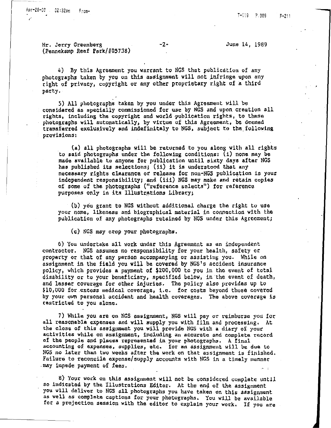Hr. Jerry Greenberg -2- -2- June 14, 1989 (Pennekamp Reef Park/#05738)

4) By this Agreement you warront to NGS that publicdtion of any photographs taken by you on this assignment will not infringe upon any tight of ptivacy, copyright or any other proprietaty right of a third P&tty.

5) All photographs taken by you under this Agreement will be coneidered a5 specially commissioned for use by NGg dnd upon. creation all rights, including the copyright and world publication rights, to these photographs will automatically, by virtue of this Agreement, be deemed transfarred exclusively and indefinitely to NGS, subject to the following provisions:

(a) all photographs will be returned to you along with all rights to said photographs under the following conditions:  $(1)$  nona may be made available to anyone for publication until sixty days after NGS haa published its selections; (i1) it is understood that any necessary rights clearance or release for non~NGS publication is you: independent responsibility; and (iii) NOS may make and retain copies of some of the photographs ("reference selects") for reference purposes only in its Illustrations Library;

(b) you grant to NGS without additional charge the right to use your name, likeness and biographical material in connection with tho publication of any photographs tetained by NOS under this Agreement;

(c) NGS may crop your photographs.

6) You undertake all work under this Agreement as an independent contractor. NGS assumes no responsibility for your health, safety or property or that of any person accompanying or assisting you. While on assignment in the field you will be covered by NGS's accident insurance policy, which provides a payment of \$200,000 to you in the event of total disability or to your beneficiary, specified below, in the event of death, and lesser coverage for other injuries. The policy also provides up to \$10,000 for excess medical coverage, i.e. for costs beyond those covered by your own personal accident nnd health coverages. The above coverage is restricted to you alone.

7) While you are on NGS assignment, NGS will pay or reimburse you for all reasonable expenses and will supply you with film and processing. At the close of this assignment you will provide NGS with a diary of your activities while on assignment, including an accurate and complete record of the people and places represented in your photographs. A final accounting of expenses. supplies, etc. for an assignment will be due to NGS no later than two weeks after the work on that assignment is finished. Failure to reconcile expense/supply accounts with NGS in a timely manner .may impede payment of fees.

8) Your work on this assignment will not be considered complete until so indicated by the Illustrations Editor. At the end of the assignment you will deliver to NGS all photographs you have taken on this assignment as well as complete captions for your photographs. You will be available for a projection session with the editor to explain your work. If you are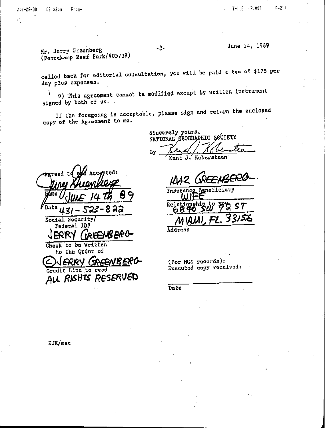$-3-$ 

June 14, 1989

Mr. Jerry Greenberg (Pennekamp Reef Park/#05738)

called back for editorial consultation, you will be paid a fee of \$175 per day plus expenses.

9) This agreement cannot be modified except by written instrument signed by both of us.

If the foregoing is acceptable, please sign and return the enclosed copy of the Agreement to ma.

Έv

Sincerely yours,

cepted! read me G  $-523 - 872$ Date Social Security Federal ID#

Check to be Written to the Order of

Credit Line to read

**WEENBARG** 

ERRY GREENBERG

ALL RIGHTS RESERVED

J. Koberstaan Kent

NATIONAL GEOGRAPHIC SECIETY

ciary Insuran

Relat ぬ 57 33/56

Address

(For NGS records): Executed copy received:

Date

KJK/mac

 $\mathcal{L}$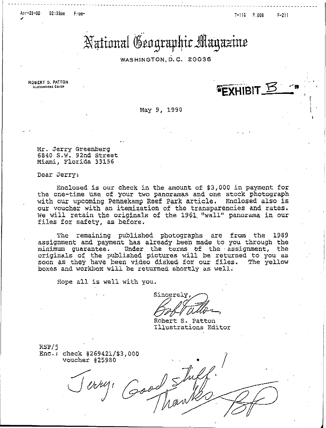T-119 P.008 F-211

Apr-2S-0D 02:33pm From-

"

National Geographic Magazine WASHINGTON, D. C. 20036

---- ----------- -------------- - - - - - - - - - - -- - - - - - - - - - - - - - - - - - - - **- --** - - - - - - ---- - - - - - - - - - - - - - - - - -- - - - - - - - - - - --

ROBERT S. PATTON ILLUSTAATIONS **É** DITON

**"EXHIBIT\_E** 

, " .

 $\cdot$  . .

I I \ I

#### May 9, 1990

Mr. Jerry Greenberg 6840 S.W. 92nd Street Miami, Florida 33156

Dear Jerry:

Enclosed is our check in the amount of  $$3,000$  in payment for the one-time use of your two panoramas and one stock photograph with our upcoming Pennekamp Reef Park article. Enclosed also is our voucher with an itemization of' the transparencies and rates. We will retain the originals of the 1961 "wall" panorama in our files for safety, as before.

The remaining published photographs are from the 1989 assignment and payment has already been made to you through the minimum guarantee. Under the terms of the' assignment, the originals of the published pictures will be returned to you as<br>soon as they have been video disked for our files. The yellow soon as they have been video disked for our files.<br>boxes and workbox will be returned shortly as well.

Hope all is well with you.

Sincerely

Robert S. Patton Illustrations Editor

RSP/j<br>Enc.: check #269421/\$3,000<br>voucher #25980<br> $\rightarrow$  7 Ene.: check ~269421/\$3,OOO voucher  $#25980$ Jerry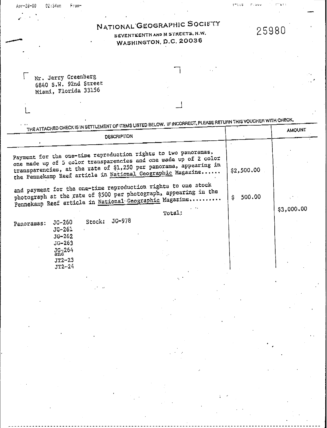| Apr-28-00  | $02:34$ pm<br>From-                                                  |                                                                                                                                                                                                                                                                       |                               | $1 - 113$<br>ديود را | $1^{4+2}$ ( 1 ) |
|------------|----------------------------------------------------------------------|-----------------------------------------------------------------------------------------------------------------------------------------------------------------------------------------------------------------------------------------------------------------------|-------------------------------|----------------------|-----------------|
|            |                                                                      | NATIONAL GEOGRAPHIC SOCIETY<br>SEVENTEENTH AND M STREETS, N.W.                                                                                                                                                                                                        | 25980                         |                      |                 |
|            |                                                                      |                                                                                                                                                                                                                                                                       | <b>WASHINGTON, D.C. 20036</b> |                      |                 |
|            |                                                                      |                                                                                                                                                                                                                                                                       |                               |                      |                 |
|            |                                                                      |                                                                                                                                                                                                                                                                       |                               |                      |                 |
|            | Mr. Jerry Greenberg<br>6840 S.W. 92nd Street<br>Miami, Florida 33156 |                                                                                                                                                                                                                                                                       |                               |                      |                 |
|            |                                                                      |                                                                                                                                                                                                                                                                       |                               |                      |                 |
|            |                                                                      | THE ATTACHED CHECK IS IN SETTLEMENT OF ITEMS LISTED BELOW. IF INCORRECT, PLEASE RETURN THIS VOUCHER WITH CHECK.                                                                                                                                                       |                               |                      |                 |
|            |                                                                      | <b>DESCRIPTION</b>                                                                                                                                                                                                                                                    |                               |                      | <b>AMOUNT</b>   |
|            |                                                                      | Payment for the one-time reproduction rights to two panoramas,<br>one made up of 5 color transparencies and one made up of 2 color<br>transparencies, at the rate of \$1,250 per panorama, appearing in<br>the Pennekamp Reef article in National Geographic Magazine |                               | \$2,500.00           |                 |
|            |                                                                      | and payment for the one-time reproduction rights to one stock<br>photograph at the rate of \$500 per photograph, appearing in the<br>Pennekamp Reef article in National Geographic Magazine                                                                           |                               | 500.00<br>\$         |                 |
|            |                                                                      |                                                                                                                                                                                                                                                                       | Total:                        |                      | \$3,000.00      |
| Panoramas: | $JG - 260$<br>$JG - 261$<br>$JG - 262$                               | Stock: JG-978                                                                                                                                                                                                                                                         |                               |                      |                 |
|            | JG-263<br>$JG_{\overline{d}}$ 264                                    |                                                                                                                                                                                                                                                                       |                               |                      |                 |
|            | JT2-23<br>$JT2 - 24$                                                 |                                                                                                                                                                                                                                                                       |                               |                      |                 |
|            |                                                                      |                                                                                                                                                                                                                                                                       |                               |                      |                 |
|            |                                                                      |                                                                                                                                                                                                                                                                       |                               |                      |                 |
|            |                                                                      |                                                                                                                                                                                                                                                                       |                               |                      |                 |
|            |                                                                      |                                                                                                                                                                                                                                                                       |                               |                      |                 |
|            |                                                                      |                                                                                                                                                                                                                                                                       |                               |                      |                 |
|            |                                                                      |                                                                                                                                                                                                                                                                       |                               |                      |                 |
|            |                                                                      |                                                                                                                                                                                                                                                                       |                               |                      |                 |
|            |                                                                      |                                                                                                                                                                                                                                                                       |                               |                      |                 |
|            |                                                                      |                                                                                                                                                                                                                                                                       |                               |                      |                 |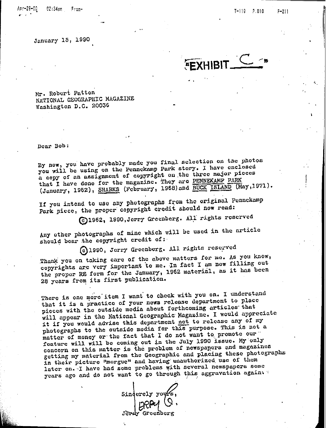r-119 POlO  $F - 211$ 

'. ,

I

January 15, 1990

 $F$ EXHIBIT

.,

Mr. Robert Patton NATIONAL GEOGRAPHIC MAGAZINE Washington D.C. 20036

Dear Dab:

By now, you have probably made you final selection on the photos you will be using on the Pennekamp Park story. I have enclosed a copy of an assignment of copyright on the three major pieces that I have done for the magazine. They are PENNEKAMP PARK (January, 1962), SHARKS (February, 1968) and BUCK ISLAND (May, 1971).

, .

If you intond to use any photographs from the original Pennekamp Park picce, the proper copyright credit should now read:

~19621 1990,Jorry Greenberg. Al~ rights reserved

Any other photographs of mine which will be used in the article should bear the copyright credit of:

G)1990, Jerry Greenberg. All rights reserved

Thank you on taking care of the above matters for me. As you know, copyrights are very important to me. In fact I am now filling out the proper RE form for the January, 1962 material, as it has been 28 years from its first publication.

There is one more item I want to check with you on. I understand that it is a practice of your news release department to place pieces with tho outside media about forthcoming articles'that will appear in the National Geographic Magazine. I would appreciate it if you would advise this department not to release any of my photographs to the outside media for this purpose. This is not a matter of money or the fact that I do not want to promote our" feature will will be coming out in the July 1990 issue. My only concorn on this matter is the problem of nowspapers and magazines getting my material trom the Geographic and plaeing theSe photographs in their picture "morgue" and having unauthorized use of them later on. I have had some problems with several newspapers some yenrs ago and do not want to go through this aggravation agains  $\cdot$ 

Sinderely yoy Jerly Greenberg

"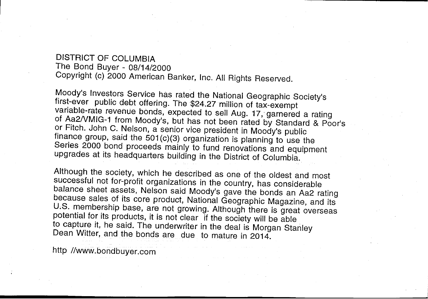### DISTRICT OF COLUMBIA The Bond Buyer - 08/14/2000 Copyright (c) 2000 American Banker, Inc. All Rights Reserved.

Moody's Investors Service has rated the National Geographic Society's first-ever public debt offering. The \$24.27 million of tax-exempt variable-rate revenue bonds, expected to sell Aug. 17, garnered a rating of Aa2/VMIG-1 from Moody's, but has not been rated by Standard & Poor's or Fitch. John C. Nelson, a senior vice president in Moody's public finance group, said the 501 (c)(3) organization is planning to use the Series 2000 bond proceeds mainly to fund renovations and equipment upgrades at its headquarters building in the District of Columbia.

Although the society, which he described as one of the oldest and most successful not for-profit organizations in the country, has considerable balance sheet assets, Nelson said Moody's gave the bonds an Aa2 rating because sales of its core product, National Geographic Magazine, and its U.S. membership base, are not growing. Although there is great overseas potential for its products, it is not clear if the society will be able to capture it, he said. The underwriter in the deal is Morgan Stanley Dean Witter, and the bonds are due to mature in 2014.

http //www.bondbuyer.com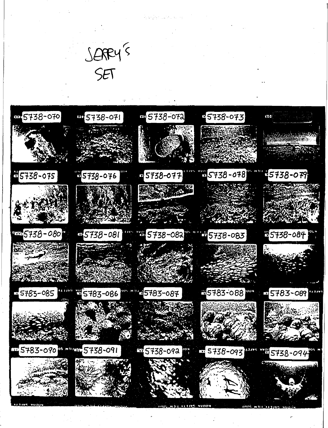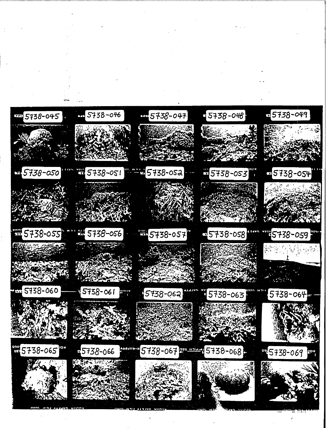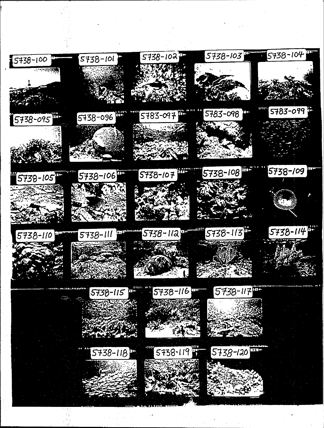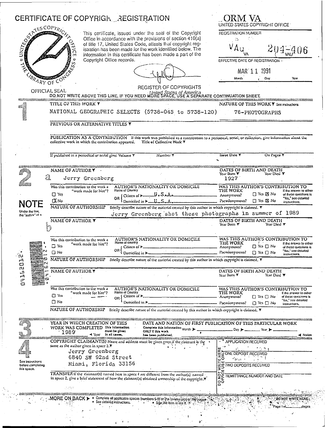## $\frac{1}{\sqrt{2}}$

| <b>CERTIFICATE OF COPYRIGHUREGISTRATION</b><br><sub>TES</sub> COPYR,<br>This certificate, issued under the seal of the Copyright<br>UNITED ST<br>Office in accordance with the provisions of section 410(a)<br>of title 17, United States Code, attests that copyright reg-<br>istration has been made for the work identified below. The |                                                                                                                                                                             |
|-------------------------------------------------------------------------------------------------------------------------------------------------------------------------------------------------------------------------------------------------------------------------------------------------------------------------------------------|-----------------------------------------------------------------------------------------------------------------------------------------------------------------------------|
|                                                                                                                                                                                                                                                                                                                                           | ORM VA<br>UNITED STATES COPYRIGHT OFFICE                                                                                                                                    |
|                                                                                                                                                                                                                                                                                                                                           | REGISTRATION NUMBER                                                                                                                                                         |
| information in this certificate has been made a part of the<br>π٦                                                                                                                                                                                                                                                                         | $204 - 406$                                                                                                                                                                 |
| Copyright Office records.                                                                                                                                                                                                                                                                                                                 | EFFECTIVE DATE OF REGISTRATION -                                                                                                                                            |
| ڿ<br>LORARY OF CON                                                                                                                                                                                                                                                                                                                        | MAR 1 1 1991<br>Month<br>Year<br>Oαγ                                                                                                                                        |
| REGISTER OF COPYRIGHTS<br>OFFICIAL SEAL<br>L SEAL SEAL SEAL AND RESEARCH THIS LINE. IF YOU NEED MORE SPACE, USE A SEPARATE CONTINUATION SHEET.                                                                                                                                                                                            |                                                                                                                                                                             |
| TITLE OF THIS WORK <b>Y</b>                                                                                                                                                                                                                                                                                                               | NATURE OF THIS WORK <b>Y</b> See instructions                                                                                                                               |
| NATIONAL GEOGRAPHIC SELECTS (5738-045 to 5738-120)                                                                                                                                                                                                                                                                                        | 76-PHOTOGRAPHS                                                                                                                                                              |
| <b>PREVIOUS OR ALTERNATIVE TITLES Y</b>                                                                                                                                                                                                                                                                                                   |                                                                                                                                                                             |
| PUBLICATION AS A CONTRIBUTION If this work was published as a contribution to a periodical, serial, or collection, give information about the<br>collective work in which the contribution appeared.<br>Title of Collective Work T                                                                                                        |                                                                                                                                                                             |
| If published in a periodical or serial give: Volume Y<br>Number Y                                                                                                                                                                                                                                                                         | Issue Date 7<br>On Pages T                                                                                                                                                  |
| NAME OF AUTHOR <b>Y</b><br>â<br>Jerry Greenberg                                                                                                                                                                                                                                                                                           | DATES OF BIRTH AND DEATH<br>Year Dorn ▼<br>Year Died Y<br>1927                                                                                                              |
| AUTHOR'S NATIONALITY OR DOMICILE<br>Was this contribution to the work a<br>Name of Country<br>"work made for hire"?<br>$\Box$ Yes<br>$\int$ Citizen of $\blacktriangleright$ $\ldots$ $\blacksquare$ $\blacksquare$ $\blacksquare$ $\blacksquare$ $\blacksquare$ $\blacksquare$<br>OR                                                     | WAS THIS AUTHOR'S CONTRIBUTION TO<br>THE WORK<br>if the answer to either<br>$\Box$ Yes $\boxtimes$ No<br>of these questions is<br>Anonymous?                                |
| <b>IX</b> No<br>Domiciled in A. U.S.A.                                                                                                                                                                                                                                                                                                    | "Yes," see detailed<br>Pseudonymous?<br>$\Box$ Yes $\boxtimes$ No<br>instructions.                                                                                          |
| <b>NATURE OF AUTHORSHIP</b><br>Briefly describe nature of the material created by this author in which copyright is claimed. Y<br>Under the law.<br>Jerry Greenberg shot these photographs in summer of 1989<br>the "author" of >                                                                                                         |                                                                                                                                                                             |
| NAME OF AUTHOR Y                                                                                                                                                                                                                                                                                                                          | DATES OF BIKTH AND DEATH<br>Year Born T<br>Year Died Y                                                                                                                      |
| <b>AUTHOR'S NATIONALITY OR DOMICILE</b><br>Was this contribution to the work a<br>Name of country<br>"work made for hire"?<br>$\Box$ Yes<br>Citizen of P.<br>OR.                                                                                                                                                                          | WAS THIS AUTHOR'S CONTRIBUTION TO<br><b>THE WORK</b><br>If the answer to citter<br>$\square$ Yes $\square$ No<br>Anonymous?<br>of these questions is<br>"Yes," see detailed |
| $\square$ No<br>Domiciled in $\blacktriangleright$<br>NATURE OF AUTHORSHIP<br>Briefly describe nature of the material created by this author in which copyright is claimed. $\blacktriangledown$                                                                                                                                          | Pseudonymous?<br>$\Box$ Yes $\Box$ No<br>instructions,                                                                                                                      |
| <b>NAME OF AUTHOR Y</b>                                                                                                                                                                                                                                                                                                                   | DATES OF BIRTH AND DEATH<br>Year Born Y<br>Year Died <b>Y</b>                                                                                                               |
| Was this contribution to the work a<br>AUTHOR'S NATIONALITY OR DOMICILE<br>Name of Country<br>" work made for hire"?<br>$\square$ Yes<br>OR { Citizen of >                                                                                                                                                                                | WAS THIS AUTHOR'S CONTRIBUTION TO<br><b>THE WORK</b><br>If the answer to either<br>Anonymous?<br>$\square$ Yes $\square$ No<br>of these questions is                        |
| □ No<br>Domiciled in ▶                                                                                                                                                                                                                                                                                                                    | "Yes," see detailed<br>- Pseudonymous?<br>$\Box$ Yes $\Box$ No<br>instructions.                                                                                             |
| NATURE OF AUTHORSHIP<br>Briefly describe nature of the material created by this author in which copyright is claimed. $\blacktriangledown$                                                                                                                                                                                                |                                                                                                                                                                             |
|                                                                                                                                                                                                                                                                                                                                           | DATE AND NATION OF FIRST PUBLICATION OF THIS PARTICULAR WORK<br>$\frac{1}{2}$ Day $\frac{1}{2}$ $\frac{1}{2}$ Year $\frac{1}{2}$<br>4 Nation                                |
| ,,,,,,,,,,,,,,,,,,,,,,,,,,,,,,,,,,,<br>YEAR IN WHICH CREATION OF THIS<br><b>WORK WAS COMPLETED This information</b><br>Complete this information $M$ onth<br>must be given.<br>ONLY If this work<br>1989                                                                                                                                  |                                                                                                                                                                             |
| ⊣ Year<br>in all cases,<br>has been published.<br>COPYRIGHT CLAIMANT(5) Name and address must be given gyen if the claimant is the<br>same as the author given in space $2.\blacktriangledown$                                                                                                                                            | APPLICATION RECEIVED                                                                                                                                                        |
| Jerry Greenberg                                                                                                                                                                                                                                                                                                                           | <b>WE ONE DEPOSIT RECEIVED</b>                                                                                                                                              |
| 6840 SW 92nd Street<br>Miami, Florida 33156                                                                                                                                                                                                                                                                                               | س∂.<br><b>Carlos</b> Carlos<br><b>ES TWO DEPOSITS RECEIVED</b>                                                                                                              |
| Sea instructions<br>belore completing<br>Pris space.<br>TRANSFER If the claimant(s) named here in space 4 are different from the author(s) named<br>in space 2, give a brief statement of how the claimant(s) obtained ownership of the copyright. $\mathbf{r}'$ .                                                                        | بتِّخّ<br><b>EL REMITTANCE NUMBER AND DATE</b><br>oo                                                                                                                        |
|                                                                                                                                                                                                                                                                                                                                           |                                                                                                                                                                             |
| MORE ON BACK > Complete all applicable spaces (numbers 5-9) on the toverse side of this pages.<br>· Sco detailed instructions.<br>. Sign the form at line 8.59                                                                                                                                                                            | DO NOT WRITE HERE:<br>Page 1 oL<br>pages                                                                                                                                    |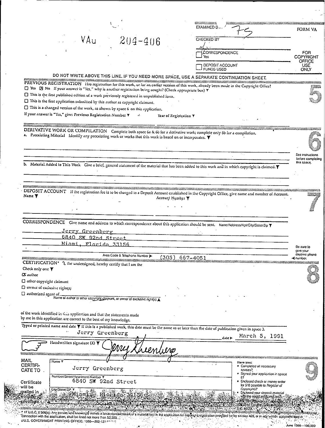|                                      |                                                                                                                                               |                                                                                                                                                                                                                                                                                                                             |                        | EXAMINED B.L                         |                                                                    | FORM VA                                |
|--------------------------------------|-----------------------------------------------------------------------------------------------------------------------------------------------|-----------------------------------------------------------------------------------------------------------------------------------------------------------------------------------------------------------------------------------------------------------------------------------------------------------------------------|------------------------|--------------------------------------|--------------------------------------------------------------------|----------------------------------------|
|                                      |                                                                                                                                               | $VAu = 204 - 406$                                                                                                                                                                                                                                                                                                           |                        | <b>CHECKED BY</b>                    |                                                                    |                                        |
|                                      |                                                                                                                                               |                                                                                                                                                                                                                                                                                                                             |                        | CORRESPONDENCE                       |                                                                    | FOR                                    |
|                                      |                                                                                                                                               |                                                                                                                                                                                                                                                                                                                             |                        | Yes                                  |                                                                    | COPYRIGHT<br>OFFICE                    |
|                                      |                                                                                                                                               |                                                                                                                                                                                                                                                                                                                             |                        | DEPOSIT ACCOUNT<br><b>FUNDS USED</b> |                                                                    | USE<br>ONLY                            |
|                                      |                                                                                                                                               | DO NOT WRITE ABOVE THIS LINE. IF YOU NEED MORE SPACE, USE A SEPARATE CONTINUATION SHEET.                                                                                                                                                                                                                                    |                        |                                      |                                                                    |                                        |
|                                      |                                                                                                                                               | PREVIOUS REGISTRATION Has registration for this work, or for an earlier version of this work, already been made in the Copyright Office?<br>T Yes <a> <a> No<br/> My our answer is "Yes," why is another registration being sought? (Check appropriate box)</a>&gt;&gt;&gt;&gt;&gt;&gt;&gt;&gt;&gt;&gt;&gt;&gt;&gt;&gt;</a> |                        |                                      |                                                                    |                                        |
|                                      |                                                                                                                                               | This is the first published edition of a work previously registered in unpublished form.                                                                                                                                                                                                                                    |                        |                                      |                                                                    |                                        |
|                                      | $\square$ This is the first application submitted by this author as copyright claimant.                                                       | I This is a changed version of the work, as shown by space 6 on this application.                                                                                                                                                                                                                                           |                        |                                      |                                                                    |                                        |
|                                      | If your answer is "Yes," give: Previous Registration Number Y                                                                                 | A.                                                                                                                                                                                                                                                                                                                          | Year of Registration T |                                      |                                                                    |                                        |
|                                      |                                                                                                                                               | tiin minimaan maantaa minimaa kannaa maantaa maantaa maantaa maantaa maantaa maantaa maantaa maantaa maantaa m                                                                                                                                                                                                              |                        |                                      |                                                                    |                                        |
|                                      |                                                                                                                                               | DERIVATIVE WORK OR COMPILATION Complete both space 6a & 6b for a derivative work; complete only 6b for a compilation.<br>a. Preexisting Material Identify any preexisting work or works that this work is based on or incorporates.                                                                                         |                        |                                      |                                                                    |                                        |
|                                      |                                                                                                                                               |                                                                                                                                                                                                                                                                                                                             |                        |                                      |                                                                    |                                        |
|                                      |                                                                                                                                               |                                                                                                                                                                                                                                                                                                                             |                        |                                      |                                                                    | See instructions                       |
|                                      |                                                                                                                                               | b. Material Added to This Work Give a brief, general statement of the material that has been added to this work and in which copyright is claimed. T                                                                                                                                                                        |                        |                                      |                                                                    | before completing<br>this space.       |
|                                      |                                                                                                                                               |                                                                                                                                                                                                                                                                                                                             |                        |                                      |                                                                    |                                        |
|                                      |                                                                                                                                               |                                                                                                                                                                                                                                                                                                                             |                        |                                      |                                                                    |                                        |
|                                      |                                                                                                                                               | . 1999 - 1999 - 1999 - 1999 - 1999 - 1999 - 1999 - 1999 - 1999 - 1999 - 1999 - 1999 - 1999 - 1999 - 1999 - 199<br>DEPOSIT ACCOUNT If the registration fee is to be charged to a Deposit Account established in the Copyright Office, give name and number of Account.                                                       |                        |                                      |                                                                    |                                        |
| Name $\P$                            |                                                                                                                                               |                                                                                                                                                                                                                                                                                                                             | Account Number Y       |                                      |                                                                    |                                        |
|                                      |                                                                                                                                               |                                                                                                                                                                                                                                                                                                                             |                        |                                      |                                                                    |                                        |
|                                      |                                                                                                                                               |                                                                                                                                                                                                                                                                                                                             |                        |                                      |                                                                    |                                        |
|                                      |                                                                                                                                               | CORRESPONDENCE Give name and address to which correspondence about this application should be sent. Name/Address/ApI/City/State/Zip T                                                                                                                                                                                       |                        |                                      |                                                                    |                                        |
|                                      | Jerry Greenberg<br>6840 SW 92nd Street                                                                                                        |                                                                                                                                                                                                                                                                                                                             | $\sim 10^{-1}$         |                                      |                                                                    |                                        |
|                                      | Miami, Florida 33156                                                                                                                          |                                                                                                                                                                                                                                                                                                                             |                        |                                      |                                                                    | Do sure lo                             |
|                                      |                                                                                                                                               | Area Code & Telephone Number                                                                                                                                                                                                                                                                                                | (305)<br>667-4051      |                                      |                                                                    | give your<br>daytime phone<br>∢ number |
|                                      | CERTIFICATION* 4, the undersigned, hereby certify that I am the                                                                               |                                                                                                                                                                                                                                                                                                                             |                        |                                      |                                                                    |                                        |
| Check only one $\P$<br>LX author     |                                                                                                                                               |                                                                                                                                                                                                                                                                                                                             |                        |                                      |                                                                    |                                        |
| C other copyright claimant           |                                                                                                                                               |                                                                                                                                                                                                                                                                                                                             |                        |                                      |                                                                    |                                        |
| C owner of exclusive right(s)        |                                                                                                                                               |                                                                                                                                                                                                                                                                                                                             |                        |                                      |                                                                    |                                        |
|                                      | authorized agent of Name of author or other copyright claimant, or owner of exclusive right(s)                                                |                                                                                                                                                                                                                                                                                                                             |                        |                                      |                                                                    |                                        |
|                                      |                                                                                                                                               |                                                                                                                                                                                                                                                                                                                             |                        |                                      |                                                                    |                                        |
|                                      | of the work identified in this application and that the statements made<br>by me in this application are correct to the best of my knowledge. |                                                                                                                                                                                                                                                                                                                             |                        |                                      |                                                                    |                                        |
|                                      |                                                                                                                                               | Typed or printed name and date $\Psi$ If this is a published work, this date must be the same as or later than the date of publication given in space 3.                                                                                                                                                                    |                        |                                      |                                                                    |                                        |
|                                      | Jerry Greenberg                                                                                                                               |                                                                                                                                                                                                                                                                                                                             |                        | dale F                               | March 5, 1991                                                      |                                        |
|                                      | Handwritten signature $(X)$                                                                                                                   |                                                                                                                                                                                                                                                                                                                             |                        |                                      |                                                                    |                                        |
|                                      |                                                                                                                                               | enturp                                                                                                                                                                                                                                                                                                                      |                        |                                      |                                                                    |                                        |
| MAIL<br><b>CERTIFI-</b>              | Name T                                                                                                                                        |                                                                                                                                                                                                                                                                                                                             |                        | . .                                  | Have you:<br>Completed all necessary                               |                                        |
| CATE TO.                             | Jerry Greenberg<br>Number/Street/Apartment Number Y                                                                                           |                                                                                                                                                                                                                                                                                                                             |                        |                                      | spaces?<br>● Signed your application in space                      |                                        |
| Certificate                          |                                                                                                                                               | 6840 SW 92nd Street                                                                                                                                                                                                                                                                                                         |                        |                                      | ● Enclosed check or money order<br>for \$10 payable to Register of |                                        |
| wiil bo<br>mailed in                 | City State/ZIP 1<br>ama                                                                                                                       | EL 0 HA Q.G                                                                                                                                                                                                                                                                                                                 |                        |                                      | Copyrights?<br>Enclosed your deposit material                      |                                        |
| Window <sub>Wo</sub><br>ci ivolo bo: |                                                                                                                                               |                                                                                                                                                                                                                                                                                                                             |                        |                                      | ilhiine application and teez.<br>uale ton Room o a Convert         |                                        |
|                                      |                                                                                                                                               |                                                                                                                                                                                                                                                                                                                             |                        |                                      | Mischel Condressevermite lott<br>こうこうかく<br>DE 20159. V             |                                        |
|                                      | connection with the application, shall be lined not more than \$2,500.<br>WU.S. GOVERNMENT PRINTING OFFICE: 1988-202-130 Philips              | IT U.S.C. I sociol: Any person wid knowingly makes a laise representation of a malorial act in the application for explicit the significant lines in a socion 409, or in adviseinto statement lied in                                                                                                                       |                        |                                      |                                                                    |                                        |
|                                      |                                                                                                                                               |                                                                                                                                                                                                                                                                                                                             |                        |                                      |                                                                    | Juna 1988-100,000                      |

÷

 $\bar{\beta}$ 

Juna 1988 100,000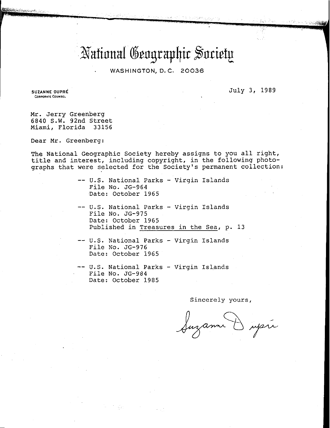## National Geographic Society

WASHINGTON, D. C. 20036

SUZANNE OUPRE **JULY 3, 1989** 

**CORPORATE COUNSEL**

Mr. Jerry Greenberg 6840 S.W. 92nd Street Miami, Florida 33156

Dear Mr. Greenberg:

The National Geographic Society hereby assigns to you all right, title and interest, including copyright, in the following photographs that were selected for the Society's permanent collection:

- -- U.S. National Parks Virgin Islands File No. JG-964 Date: October 1965
- -- U.S. National Parks Virgin Islands File No. JG-975 Date: October 1965 Published in Treasures in the Sea, p. 13
- -- U.S. National Parks Virgin Islands File No. JG-976 Date: October 1965
- U.S. National Parks Virgin Islands File No. JG-984 Date: October 1985

-621

Sincerely yours,

Suzannit injari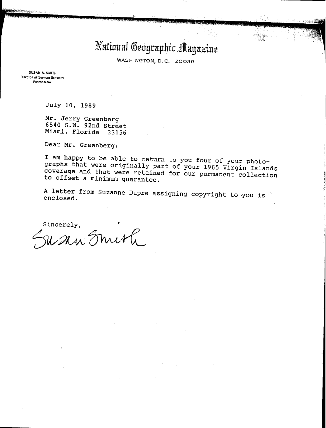### National Geographic Magazine

... $\sim$ 

WASHINGTON, D.C. 20036

**SUSAN A.SMITH DIRecToR or SUPPORT SERVIces PHOTOGRAPHY**

July 10, 1989

Mr. Jerry Greenberg 6840 s.w. 92nd Street Miami, Florida 33156

Dear Mr. Greenberg:

I am happy to be able to return to you four of your photographs that were originally part of your 1965 Virgin Islands coverage and that were retained for our permanent collection to offset a minimum guarantee.

A letter from Suzanne Dupre assigning copyright to you is

Sincerely, Susan Smith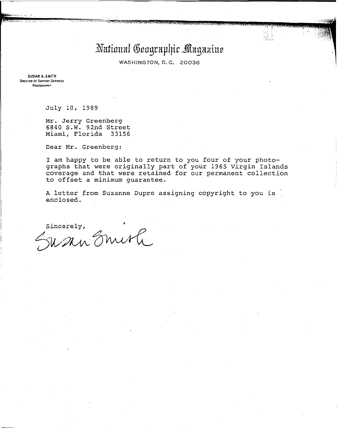### National Geographic Magazine

WASHINGTON, D. C. 20036

**SUSAN A. SMITH OIRCCfOR or SUPPORT SUVICC\$ PHOTOGRAPH'**

July 10, 1989

**Mr.** Jerry Greenberg 6840 **S.W.** 92nd Street Miami, Florida 33156

Dear **Mr.** Greenberg:

I am happy to be able to return to you four of your photographs that were originally part of your 1965 Virgin Islands coverage and that were retained for our permanent collection to offset <sup>a</sup> minimum guarantee.

<sup>A</sup> letter from Suzanne Dupre assigning copyright to ·you is enclosed.

Sincerely, Swan Smith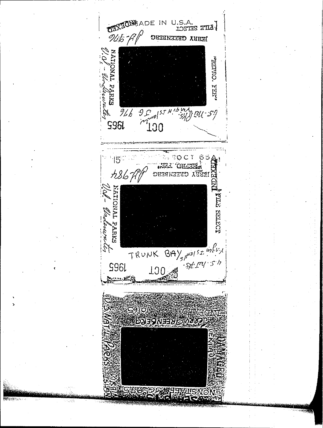ORTONADE IN U.S.A.  $206 - \beta$ **JEHRY GREENBERG TYNOTLYN ARRIC BEAT** ਤਬਬਾਓਟ  $\frac{25}{100}$   $^{57}$   $^{1/5}$ .  $\overline{\mathscr{U}}$  $\frac{1}{2}$   $\frac{1}{2}$   $\frac{1}{2}$   $\frac{1}{2}$   $\frac{1}{2}$   $\frac{1}{2}$   $\frac{1}{2}$   $\frac{1}{2}$ 5961 NE TO CT 65A  $\frac{1}{2}$  $A867$ EXHAT LARCITAN **LORTES REEL** バル TRUNK BAY, post st unfux **996L** S9101<br>BD39N=30BA320 SHUGS REHT SNÖN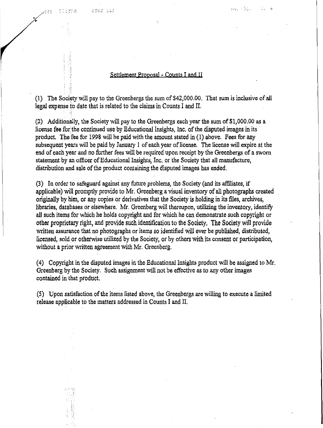#### 50. FRI

#### Settlement Proposal - Counts I and **II**

(1) The Society will pay to the Greenbergs the sum of \$42,000.00. That sum is inclusive of all legal expense to date that isrelated to the claims inCounts I and II.

(2) Additionally, the Society will pay to the Greenbergs each year the sum of \$1,000.00 as a license fee for the continued use by Educational Insights, Inc. of the disputed images in its product. The fee for 1998 will be paid with the amount stated in  $(1)$  above. Fees for any subsequent years will be paid by January 1 of each year of license. The license will expire at the end of each year and no further fees will be required upon receipt by the Greenbergs of a sworn statement by an officer of Educational Insights, Inc. or the Society that all manufacture, distribution and sale of the product containing the disputed images has ended.

(3) In order to safeguard against any future problems, the Society (and itsaffiliates, if applicable) will promptly provide to Mr. Greenberg a visual inventory of all photographs created originally by him, or any copies or derivatives that the Society *is* holding initsfiles, archives, libraries. databases or elsewhere. Mr. Greenberg will thereupon, utilizing the inventory, identify all such items for which he holds copyright and for which he can demonstrate such copyright or other proprietary right, and provide such identification to the Society. **The** Society will provide written assurance that no photographs or items so identified will ever be published, distributed, licensed, sold or otherwise utilized by the Society, or by others with its consent or participation, without a prior written agreement with Mr. Greenberg.

(4) Copyright in the disputed images in the Educational Insights product will be assigned to Mr. Greenberg by the Society. Such assignment will not be effective as to any other images contained in that product.

(5) Upon satisfaction ofthe items listed above, theGreenbergs are willing to execute a limited release applicable to the matters addressed inCounts I and II.